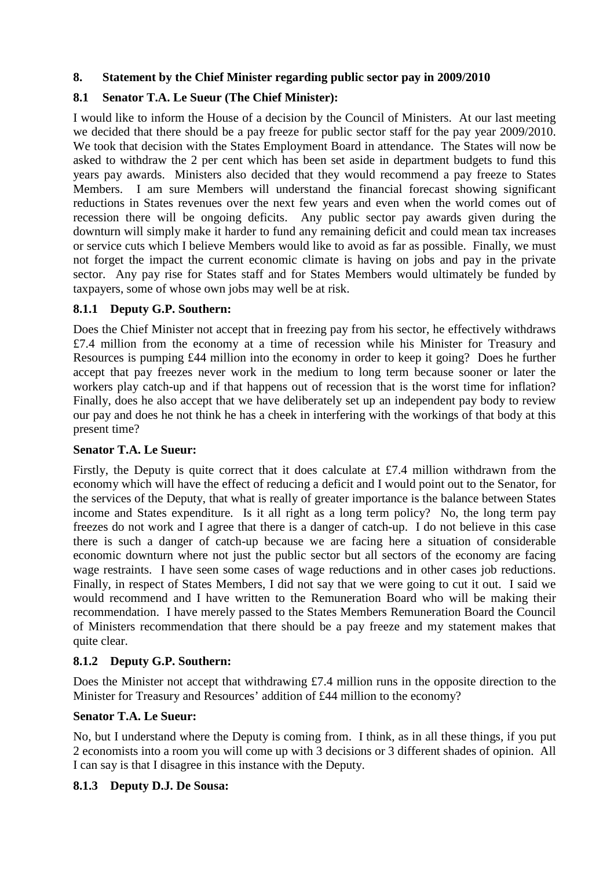### **8. Statement by the Chief Minister regarding public sector pay in 2009/2010**

## **8.1 Senator T.A. Le Sueur (The Chief Minister):**

I would like to inform the House of a decision by the Council of Ministers. At our last meeting we decided that there should be a pay freeze for public sector staff for the pay year 2009/2010. We took that decision with the States Employment Board in attendance. The States will now be asked to withdraw the 2 per cent which has been set aside in department budgets to fund this years pay awards. Ministers also decided that they would recommend a pay freeze to States Members. I am sure Members will understand the financial forecast showing significant reductions in States revenues over the next few years and even when the world comes out of recession there will be ongoing deficits. Any public sector pay awards given during the downturn will simply make it harder to fund any remaining deficit and could mean tax increases or service cuts which I believe Members would like to avoid as far as possible. Finally, we must not forget the impact the current economic climate is having on jobs and pay in the private sector. Any pay rise for States staff and for States Members would ultimately be funded by taxpayers, some of whose own jobs may well be at risk.

### **8.1.1 Deputy G.P. Southern:**

Does the Chief Minister not accept that in freezing pay from his sector, he effectively withdraws £7.4 million from the economy at a time of recession while his Minister for Treasury and Resources is pumping £44 million into the economy in order to keep it going? Does he further accept that pay freezes never work in the medium to long term because sooner or later the workers play catch-up and if that happens out of recession that is the worst time for inflation? Finally, does he also accept that we have deliberately set up an independent pay body to review our pay and does he not think he has a cheek in interfering with the workings of that body at this present time?

#### **Senator T.A. Le Sueur:**

Firstly, the Deputy is quite correct that it does calculate at £7.4 million withdrawn from the economy which will have the effect of reducing a deficit and I would point out to the Senator, for the services of the Deputy, that what is really of greater importance is the balance between States income and States expenditure. Is it all right as a long term policy? No, the long term pay freezes do not work and I agree that there is a danger of catch-up. I do not believe in this case there is such a danger of catch-up because we are facing here a situation of considerable economic downturn where not just the public sector but all sectors of the economy are facing wage restraints. I have seen some cases of wage reductions and in other cases job reductions. Finally, in respect of States Members, I did not say that we were going to cut it out. I said we would recommend and I have written to the Remuneration Board who will be making their recommendation. I have merely passed to the States Members Remuneration Board the Council of Ministers recommendation that there should be a pay freeze and my statement makes that quite clear.

## **8.1.2 Deputy G.P. Southern:**

Does the Minister not accept that withdrawing £7.4 million runs in the opposite direction to the Minister for Treasury and Resources' addition of £44 million to the economy?

#### **Senator T.A. Le Sueur:**

No, but I understand where the Deputy is coming from. I think, as in all these things, if you put 2 economists into a room you will come up with 3 decisions or 3 different shades of opinion. All I can say is that I disagree in this instance with the Deputy.

#### **8.1.3 Deputy D.J. De Sousa:**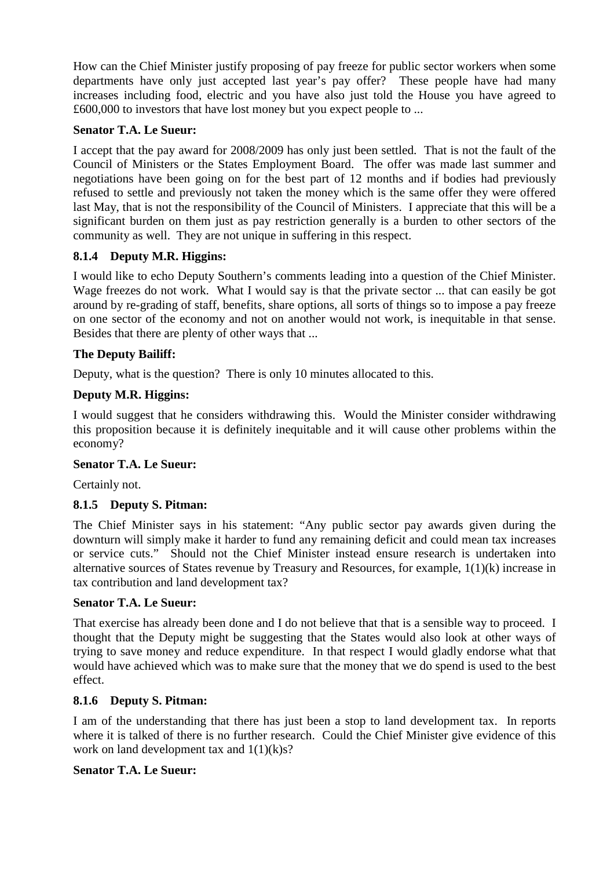How can the Chief Minister justify proposing of pay freeze for public sector workers when some departments have only just accepted last year's pay offer? These people have had many increases including food, electric and you have also just told the House you have agreed to £600,000 to investors that have lost money but you expect people to ...

#### **Senator T.A. Le Sueur:**

I accept that the pay award for 2008/2009 has only just been settled. That is not the fault of the Council of Ministers or the States Employment Board. The offer was made last summer and negotiations have been going on for the best part of 12 months and if bodies had previously refused to settle and previously not taken the money which is the same offer they were offered last May, that is not the responsibility of the Council of Ministers. I appreciate that this will be a significant burden on them just as pay restriction generally is a burden to other sectors of the community as well. They are not unique in suffering in this respect.

## **8.1.4 Deputy M.R. Higgins:**

I would like to echo Deputy Southern's comments leading into a question of the Chief Minister. Wage freezes do not work. What I would say is that the private sector ... that can easily be got around by re-grading of staff, benefits, share options, all sorts of things so to impose a pay freeze on one sector of the economy and not on another would not work, is inequitable in that sense. Besides that there are plenty of other ways that ...

## **The Deputy Bailiff:**

Deputy, what is the question? There is only 10 minutes allocated to this.

# **Deputy M.R. Higgins:**

I would suggest that he considers withdrawing this. Would the Minister consider withdrawing this proposition because it is definitely inequitable and it will cause other problems within the economy?

## **Senator T.A. Le Sueur:**

Certainly not.

## **8.1.5 Deputy S. Pitman:**

The Chief Minister says in his statement: "Any public sector pay awards given during the downturn will simply make it harder to fund any remaining deficit and could mean tax increases or service cuts." Should not the Chief Minister instead ensure research is undertaken into alternative sources of States revenue by Treasury and Resources, for example, 1(1)(k) increase in tax contribution and land development tax?

## **Senator T.A. Le Sueur:**

That exercise has already been done and I do not believe that that is a sensible way to proceed. I thought that the Deputy might be suggesting that the States would also look at other ways of trying to save money and reduce expenditure. In that respect I would gladly endorse what that would have achieved which was to make sure that the money that we do spend is used to the best effect.

## **8.1.6 Deputy S. Pitman:**

I am of the understanding that there has just been a stop to land development tax. In reports where it is talked of there is no further research. Could the Chief Minister give evidence of this work on land development tax and  $1(1)(k)s$ ?

## **Senator T.A. Le Sueur:**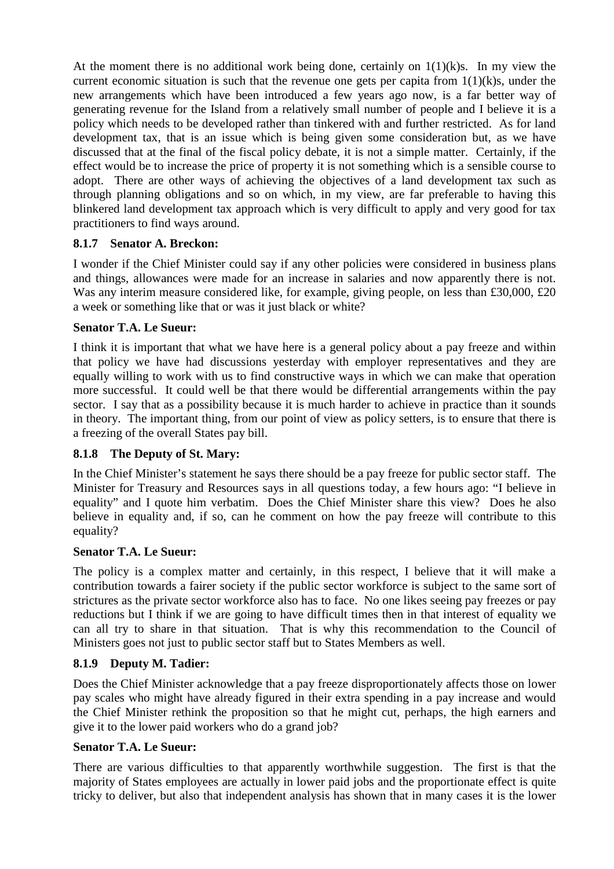At the moment there is no additional work being done, certainly on  $1(1)(k)s$ . In my view the current economic situation is such that the revenue one gets per capita from  $1(1)(k)s$ , under the new arrangements which have been introduced a few years ago now, is a far better way of generating revenue for the Island from a relatively small number of people and I believe it is a policy which needs to be developed rather than tinkered with and further restricted. As for land development tax, that is an issue which is being given some consideration but, as we have discussed that at the final of the fiscal policy debate, it is not a simple matter. Certainly, if the effect would be to increase the price of property it is not something which is a sensible course to adopt. There are other ways of achieving the objectives of a land development tax such as through planning obligations and so on which, in my view, are far preferable to having this blinkered land development tax approach which is very difficult to apply and very good for tax practitioners to find ways around.

### **8.1.7 Senator A. Breckon:**

I wonder if the Chief Minister could say if any other policies were considered in business plans and things, allowances were made for an increase in salaries and now apparently there is not. Was any interim measure considered like, for example, giving people, on less than £30,000, £20 a week or something like that or was it just black or white?

### **Senator T.A. Le Sueur:**

I think it is important that what we have here is a general policy about a pay freeze and within that policy we have had discussions yesterday with employer representatives and they are equally willing to work with us to find constructive ways in which we can make that operation more successful. It could well be that there would be differential arrangements within the pay sector. I say that as a possibility because it is much harder to achieve in practice than it sounds in theory. The important thing, from our point of view as policy setters, is to ensure that there is a freezing of the overall States pay bill.

## **8.1.8 The Deputy of St. Mary:**

In the Chief Minister's statement he says there should be a pay freeze for public sector staff. The Minister for Treasury and Resources says in all questions today, a few hours ago: "I believe in equality" and I quote him verbatim. Does the Chief Minister share this view? Does he also believe in equality and, if so, can he comment on how the pay freeze will contribute to this equality?

#### **Senator T.A. Le Sueur:**

The policy is a complex matter and certainly, in this respect, I believe that it will make a contribution towards a fairer society if the public sector workforce is subject to the same sort of strictures as the private sector workforce also has to face. No one likes seeing pay freezes or pay reductions but I think if we are going to have difficult times then in that interest of equality we can all try to share in that situation. That is why this recommendation to the Council of Ministers goes not just to public sector staff but to States Members as well.

#### **8.1.9 Deputy M. Tadier:**

Does the Chief Minister acknowledge that a pay freeze disproportionately affects those on lower pay scales who might have already figured in their extra spending in a pay increase and would the Chief Minister rethink the proposition so that he might cut, perhaps, the high earners and give it to the lower paid workers who do a grand job?

#### **Senator T.A. Le Sueur:**

There are various difficulties to that apparently worthwhile suggestion. The first is that the majority of States employees are actually in lower paid jobs and the proportionate effect is quite tricky to deliver, but also that independent analysis has shown that in many cases it is the lower